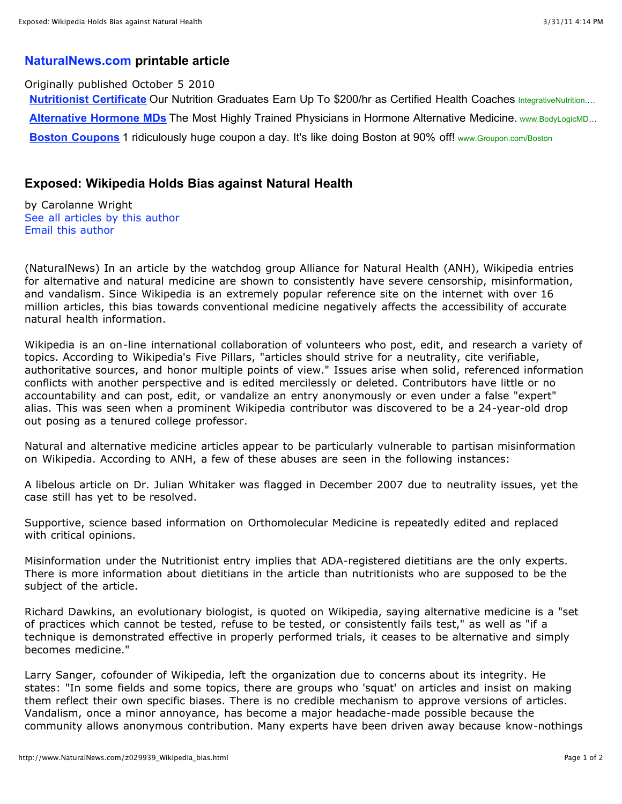## **[NaturalNews.com](http://www.NaturalNews.com/index.html) printable article**

## Originally published October 5 2010

**[Nutritionist Certificate](http://googleads.g.doubleclick.net/aclk?sa=l&ai=BtjRvpeCUTaXyO9abmgfmg7CPA-721c4B1sKmshnAjbcBoIeFARABGAEg3uKIGygDOABQ-tOxxQFgyf7tiISk7A-gAbnxnf8DsgETd3d3Lm5hdHVyYWxuZXdzLmNvbboBCTcyOHg5MF9hc8gBAdoBNmh0dHA6Ly93d3cubmF0dXJhbG5ld3MuY29tL3owMjk5MzlfV2lraXBlZGlhX2JpYXMuaHRtbIACAcgCjo2OFagDAcgDF-gDswnoA_MD6AO0BegDyAP1AyAAAEQ&num=1&sig=AGiWqtzSWdl7dg4Upwh2E3kEc5Jhok8EQA&client=ca-pub-1428227654181435&adurl=http://www.integrativenutrition.com/lp/health-and-nutrition-school%3F_kk%3Deducation%2520nutritionist%26_kt%3D0128ece5-3479-4b21-93eb-cb11c46a1709)** Our Nutrition Graduates Earn Up To \$200/hr as Certified Health Coaches IntegrativeNutrition.... **[Alternative Hormone MDs](http://googleads.g.doubleclick.net/aclk?sa=l&ai=BXWvMpeCUTaXyO9abmgfmg7CPA8rk9OMB-q-olhnAjbcBkN5OEAIYAiDe4ogbKAM4AFCTjpWq-v____8BYMn-7YiEpOwPoAHsiJz-A7IBE3d3dy5uYXR1cmFsbmV3cy5jb226AQk3Mjh4OTBfYXPIAQHaATZodHRwOi8vd3d3Lm5hdHVyYWxuZXdzLmNvbS96MDI5OTM5X1dpa2lwZWRpYV9iaWFzLmh0bWyAAgGoAwHIAxfoA7MJ6APzA-gDtAXoA8gD9QMgAABE&num=2&sig=AGiWqtxj7McI4oJgGMgdRX17ML58eOD5xw&client=ca-pub-1428227654181435&adurl=http://www.bodylogicmd.com%3Ftid%3Dcpc.google.content.new%2Bgrouping%2Btext%2Bcm.alternative%2Bmedicine.alternative%2Bmedicine%26mkwid%3DcTuBfIccv%26pcrid%3D6658785442)** The Most Highly Trained Physicians in Hormone Alternative Medicine. www.BodyLogicMD... **[Boston Coupons](http://googleads.g.doubleclick.net/aclk?sa=l&ai=BsVLMpeCUTaXyO9abmgfmg7CPA7z_67ICxOiDixvEs9z5VeDlpAEQAxgDIN7iiBsoAzgAUOX6-s37_____wFgyf7tiISk7A-gAbylquUDsgETd3d3Lm5hdHVyYWxuZXdzLmNvbboBCTcyOHg5MF9hc8gBAdoBNmh0dHA6Ly93d3cubmF0dXJhbG5ld3MuY29tL3owMjk5MzlfV2lraXBlZGlhX2JpYXMuaHRtbPgBAcACAagDAcgDF-gDswnoA_MD6AO0BegDyAP1AyAAAEQ&num=3&sig=AGiWqtwdSmTyscvajYHShsDUpmSRSPSYiA&client=ca-pub-1428227654181435&adurl=http://www.groupon.com/boston/subscribe%3Futm_source%3DGoogle%26utm_medium%3Dcpc%26utm_campaign%3DExplorer%26d%3DMassachusetts_-_Boston%26p%3Dwww.naturalnews.com%26a%3DText)** 1 ridiculously huge coupon a day. It's like doing Boston at 90% off! www.Groupon.com/Boston

## **Exposed: Wikipedia Holds Bias against Natural Health**

by Carolanne Wright [See all articles by this author](http://www.NaturalNews.com/Author1183.html) [Email this author](http://www.naturalnews.com/contactauthor.asp?ID=1183&Token=0&Title=Exposed:%20Wikipedia%20Holds%20Bias%20against%20Natural%20Health%20)

(NaturalNews) In an article by the watchdog group Alliance for Natural Health (ANH), Wikipedia entries for alternative and natural medicine are shown to consistently have severe censorship, misinformation, and vandalism. Since Wikipedia is an extremely popular reference site on the internet with over 16 million articles, this bias towards conventional medicine negatively affects the accessibility of accurate natural health information.

Wikipedia is an on-line international collaboration of volunteers who post, edit, and research a variety of topics. According to Wikipedia's Five Pillars, "articles should strive for a neutrality, cite verifiable, authoritative sources, and honor multiple points of view." Issues arise when solid, referenced information conflicts with another perspective and is edited mercilessly or deleted. Contributors have little or no accountability and can post, edit, or vandalize an entry anonymously or even under a false "expert" alias. This was seen when a prominent Wikipedia contributor was discovered to be a 24-year-old drop out posing as a tenured college professor.

Natural and alternative medicine articles appear to be particularly vulnerable to partisan misinformation on Wikipedia. According to ANH, a few of these abuses are seen in the following instances:

A libelous article on Dr. Julian Whitaker was flagged in December 2007 due to neutrality issues, yet the case still has yet to be resolved.

Supportive, science based information on Orthomolecular Medicine is repeatedly edited and replaced with critical opinions.

Misinformation under the Nutritionist entry implies that ADA-registered dietitians are the only experts. There is more information about dietitians in the article than nutritionists who are supposed to be the subject of the article.

Richard Dawkins, an evolutionary biologist, is quoted on Wikipedia, saying alternative medicine is a "set of practices which cannot be tested, refuse to be tested, or consistently fails test," as well as "if a technique is demonstrated effective in properly performed trials, it ceases to be alternative and simply becomes medicine."

Larry Sanger, cofounder of Wikipedia, left the organization due to concerns about its integrity. He states: "In some fields and some topics, there are groups who 'squat' on articles and insist on making them reflect their own specific biases. There is no credible mechanism to approve versions of articles. Vandalism, once a minor annoyance, has become a major headache-made possible because the community allows anonymous contribution. Many experts have been driven away because know-nothings